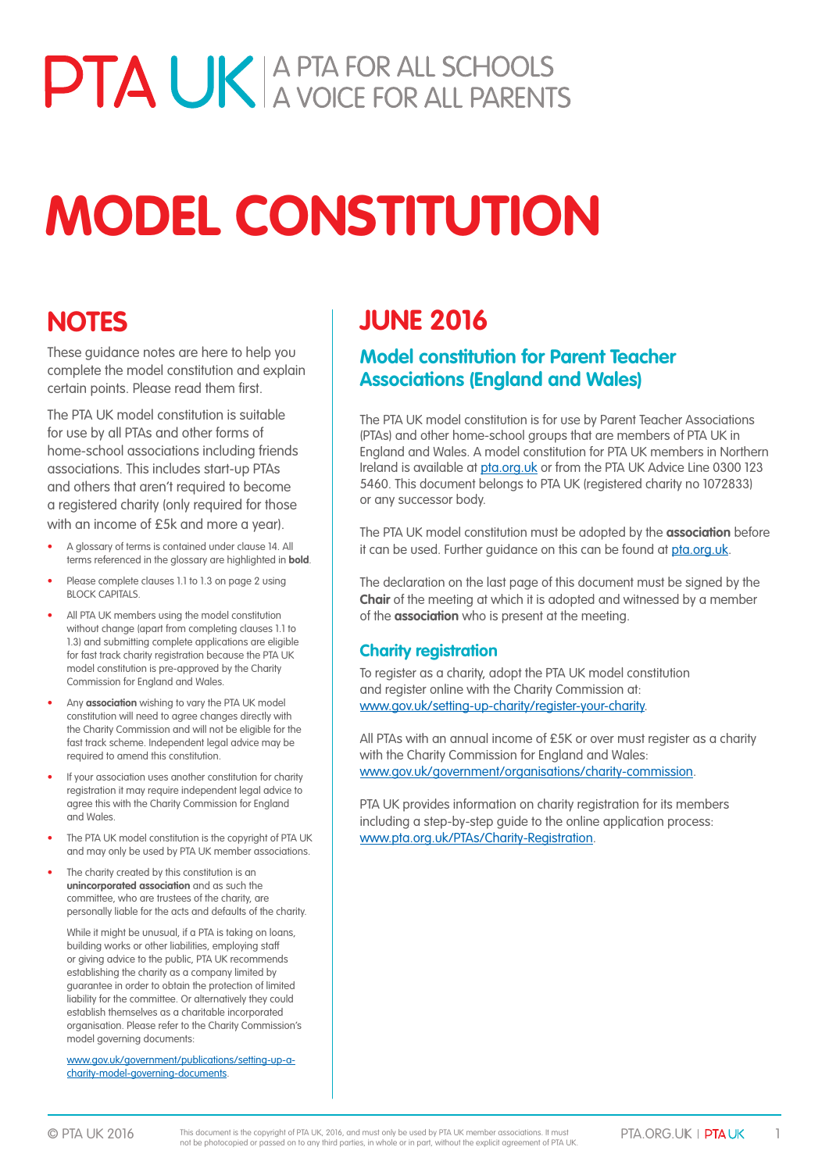# PTA UK A PTA FOR ALL SCHOOLS

# **MODEL CONSTITUTION**

# **NOTES**

These guidance notes are here to help you complete the model constitution and explain certain points. Please read them first.

The PTA UK model constitution is suitable for use by all PTAs and other forms of home-school associations including friends associations. This includes start-up PTAs and others that aren't required to become a registered charity (only required for those with an income of £5k and more a year).

- A glossary of terms is contained under clause 14. All terms referenced in the glossary are highlighted in **bold**.
- Please complete clauses 1.1 to 1.3 on page 2 using **BLOCK CAPITALS**
- All PTA UK members using the model constitution without change (apart from completing clauses 1.1 to 1.3) and submitting complete applications are eligible for fast track charity registration because the PTA UK model constitution is pre-approved by the Charity Commission for England and Wales.
- Any **association** wishing to vary the PTA UK model constitution will need to agree changes directly with the Charity Commission and will not be eligible for the fast track scheme. Independent legal advice may be required to amend this constitution.
- If your association uses another constitution for charity registration it may require independent legal advice to agree this with the Charity Commission for England and Wales.
- The PTA UK model constitution is the copyright of PTA UK and may only be used by PTA UK member associations.
- The charity created by this constitution is an **unincorporated association** and as such the committee, who are trustees of the charity, are personally liable for the acts and defaults of the charity.

 While it might be unusual, if a PTA is taking on loans, building works or other liabilities, employing staff or giving advice to the public, PTA UK recommends establishing the charity as a company limited by guarantee in order to obtain the protection of limited liability for the committee. Or alternatively they could establish themselves as a charitable incorporated organisation. Please refer to the Charity Commission's model governing documents:

 www.gov.uk/government/publications/setting-up-acharity-model-governing-documents.

# **JUNE 2016**

# **Model constitution for Parent Teacher Associations (England and Wales)**

The PTA UK model constitution is for use by Parent Teacher Associations (PTAs) and other home-school groups that are members of PTA UK in England and Wales. A model constitution for PTA UK members in Northern Ireland is available at <pta.org.uk> or from the PTA UK Advice Line 0300 123 5460. This document belongs to PTA UK (registered charity no 1072833) or any successor body.

The PTA UK model constitution must be adopted by the **association** before it can be used. Further guidance on this can be found at<pta.org.uk>.

The declaration on the last page of this document must be signed by the **Chair** of the meeting at which it is adopted and witnessed by a member of the **association** who is present at the meeting.

# **Charity registration**

To register as a charity, adopt the PTA UK model constitution and register online with the Charity Commission at: [www.gov.uk/setting-up-charity/register-](https://www.gov.uk/setting-up-charity/register-your-charity)your-charity.

All PTAs with an annual income of £5K or over must register as a charity with the Charity Commission for England and Wales: www.gov.uk/government/organisations/charity-commission.

PTA UK provides information on charity registration for its members including a step-by-step guide to the online application process: [www.pta.org.uk/PTAs/Charity-](http://www.pta.org.uk/PTAs/Charity-Registration)Registration.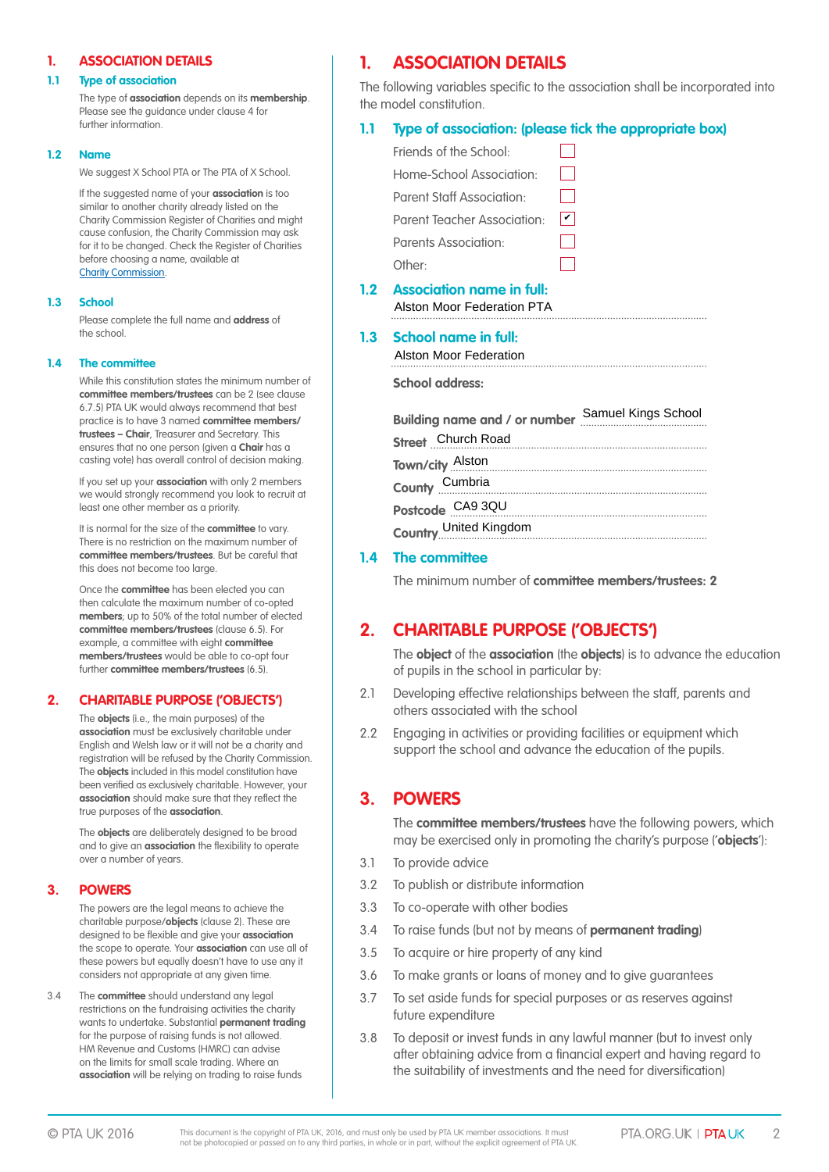#### **1. ASSOCIATION DETAILS**

#### **1.1 Type of association**

 The type of **association** depends on its **membership**. Please see the guidance under clause 4 for further information.

#### **1.2 Name**

We suggest X School PTA or The PTA of X School.

 If the suggested name of your **association** is too similar to another charity already listed on the Charity Commission Register of Charities and might cause confusion, the Charity Commission may ask for it to be changed. Check the Register of Charities before choosing a name, available at **[Charity Commissio](https://www.gov.uk/government/organisations/charity-commission)n.** 

#### **1.3 School**

 Please complete the full name and **address** of the school.

#### **1.4 The committee**

 While this constitution states the minimum number of **committee members/trustees** can be 2 (see clause 6.7.5) PTA UK would always recommend that best practice is to have 3 named **committee members/ trustees – Chair**, Treasurer and Secretary. This ensures that no one person (given a **Chair** has a casting vote) has overall control of decision making.

 If you set up your **association** with only 2 members we would strongly recommend you look to recruit at least one other member as a priority.

 It is normal for the size of the **committee** to vary. There is no restriction on the maximum number of **committee members/trustees**. But be careful that this does not become too large.

 Once the **committee** has been elected you can then calculate the maximum number of co-opted **members**; up to 50% of the total number of elected **committee members/trustees** (clause 6.5). For example, a committee with eight **committee members/trustees** would be able to co-opt four further **committee members/trustees** (6.5).

#### **2. CHARITABLE PURPOSE ('OBJECTS')**

 The **objects** (i.e., the main purposes) of the **association** must be exclusively charitable under English and Welsh law or it will not be a charity and registration will be refused by the Charity Commission. The **objects** included in this model constitution have been verified as exclusively charitable. However, your **association** should make sure that they reflect the true purposes of the **association**.

 The **objects** are deliberately designed to be broad and to give an **association** the flexibility to operate over a number of years.

#### **3. POWERS**

 The powers are the legal means to achieve the charitable purpose/**objects** (clause 2). These are designed to be flexible and give your **association** the scope to operate. Your **association** can use all of these powers but equally doesn't have to use any it considers not appropriate at any given time.

3.4 The **committee** should understand any legal restrictions on the fundraising activities the charity wants to undertake. Substantial **permanent trading** for the purpose of raising funds is not allowed. HM Revenue and Customs (HMRC) can advise on the limits for small scale trading. Where an **association** will be relying on trading to raise funds

# **1. ASSOCIATION DETAILS**

The following variables specific to the association shall be incorporated into the model constitution.

#### **1.1 Type of association: (please tick the appropriate box)**

|     | Friends of the School:                                                |             |
|-----|-----------------------------------------------------------------------|-------------|
|     | Home-School Association:                                              |             |
|     | <b>Parent Staff Association:</b>                                      |             |
|     | Parent Teacher Association:                                           | $\mathbf v$ |
|     | Parents Association:                                                  |             |
|     | Other:                                                                |             |
| 1.2 | <b>Association name in full:</b><br><b>Alston Moor Federation PTA</b> |             |
| 1.3 | <b>School name in full:</b><br><b>Alston Moor Federation</b>          |             |
|     |                                                                       |             |
|     | <b>School address:</b>                                                |             |
|     | Building name and / or number Samuel Kings School                     |             |
|     | Street Church Road                                                    |             |
|     | Town/city Alston                                                      |             |
|     | County Cumbria<br>Postcode CA9 3QU                                    |             |

**Country** United Kingdom

#### **1.4 The committee**

The minimum number of **committee members/trustees: 2**

# **2. CHARITABLE PURPOSE ('OBJECTS')**

 The **object** of the **association** (the **objects**) is to advance the education of pupils in the school in particular by:

- 2.1 Developing effective relationships between the staff, parents and others associated with the school
- 2.2 Engaging in activities or providing facilities or equipment which support the school and advance the education of the pupils.

## **3. POWERS**

 The **committee members/trustees** have the following powers, which may be exercised only in promoting the charity's purpose ('**objects**'):

- 3.1 To provide advice
- 3.2 To publish or distribute information
- 3.3 To co-operate with other bodies
- 3.4 To raise funds (but not by means of **permanent trading**)
- 3.5 To acquire or hire property of any kind
- 3.6 To make grants or loans of money and to give guarantees
- 3.7 To set aside funds for special purposes or as reserves against future expenditure
- 3.8 To deposit or invest funds in any lawful manner (but to invest only after obtaining advice from a financial expert and having regard to the suitability of investments and the need for diversification)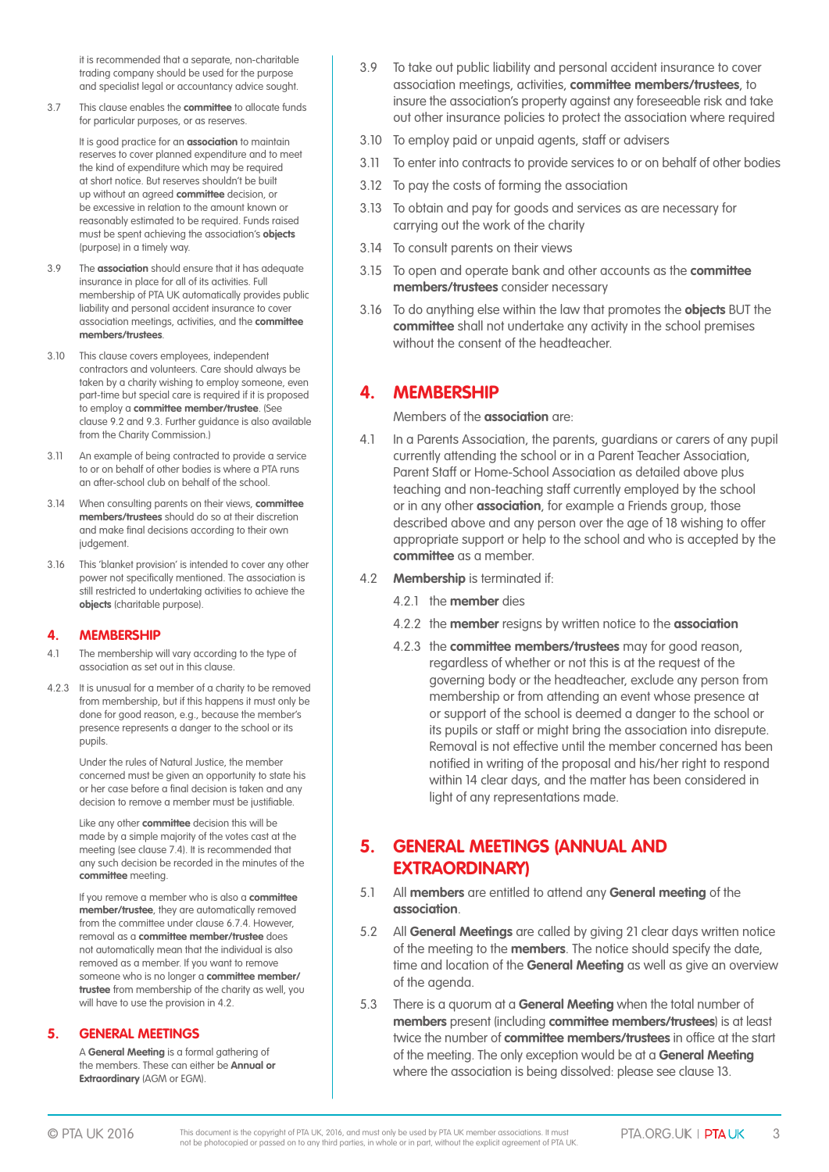it is recommended that a separate, non-charitable trading company should be used for the purpose and specialist legal or accountancy advice sought.

3.7 This clause enables the **committee** to allocate funds for particular purposes, or as reserves.

> It is good practice for an **association** to maintain reserves to cover planned expenditure and to meet the kind of expenditure which may be required at short notice. But reserves shouldn't be built up without an agreed **committee** decision, or be excessive in relation to the amount known or reasonably estimated to be required. Funds raised must be spent achieving the association's **objects** (purpose) in a timely way.

- 3.9 The **association** should ensure that it has adequate insurance in place for all of its activities. Full membership of PTA UK automatically provides public liability and personal accident insurance to cover association meetings, activities, and the **committee members/trustees**.
- 3.10 This clause covers employees, independent contractors and volunteers. Care should always be taken by a charity wishing to employ someone, even part-time but special care is required if it is proposed to employ a **committee member/trustee**. (See clause 9.2 and 9.3. Further guidance is also available from the Charity Commission.)
- 3.11 An example of being contracted to provide a service to or on behalf of other bodies is where a PTA runs an after-school club on behalf of the school.
- 3.14 When consulting parents on their views, **committee members/trustees** should do so at their discretion and make final decisions according to their own judgement.
- 3.16 This 'blanket provision' is intended to cover any other power not specifically mentioned. The association is still restricted to undertaking activities to achieve the **objects** (charitable purpose).

#### **4. MEMBERSHIP**

- 4.1 The membership will vary according to the type of association as set out in this clause.
- 4.2.3 It is unusual for a member of a charity to be removed from membership, but if this happens it must only be done for good reason, e.g., because the member's presence represents a danger to the school or its pupils.

 Under the rules of Natural Justice, the member concerned must be given an opportunity to state his or her case before a final decision is taken and any decision to remove a member must be justifiable.

 Like any other **committee** decision this will be made by a simple majority of the votes cast at the meeting (see clause 7.4). It is recommended that any such decision be recorded in the minutes of the **committee** meeting.

 If you remove a member who is also a **committee member/trustee**, they are automatically removed from the committee under clause 6.7.4. However, removal as a **committee member/trustee** does not automatically mean that the individual is also removed as a member. If you want to remove someone who is no longer a **committee member/ trustee** from membership of the charity as well, you will have to use the provision in 4.2.

#### **5. GENERAL MEETINGS**

 A **General Meeting** is a formal gathering of the members. These can either be **Annual or Extraordinary** (AGM or EGM).

- 3.9 To take out public liability and personal accident insurance to cover association meetings, activities, **committee members/trustees**, to insure the association's property against any foreseeable risk and take out other insurance policies to protect the association where required
- 3.10 To employ paid or unpaid agents, staff or advisers
- 3.11 To enter into contracts to provide services to or on behalf of other bodies
- 3.12 To pay the costs of forming the association
- 3.13 To obtain and pay for goods and services as are necessary for carrying out the work of the charity
- 3.14 To consult parents on their views
- 3.15 To open and operate bank and other accounts as the **committee members/trustees** consider necessary
- 3.16 To do anything else within the law that promotes the **objects** BUT the **committee** shall not undertake any activity in the school premises without the consent of the headteacher.

## **4. MEMBERSHIP**

Members of the **association** are:

- 4.1 In a Parents Association, the parents, guardians or carers of any pupil currently attending the school or in a Parent Teacher Association, Parent Staff or Home-School Association as detailed above plus teaching and non-teaching staff currently employed by the school or in any other **association**, for example a Friends group, those described above and any person over the age of 18 wishing to offer appropriate support or help to the school and who is accepted by the **committee** as a member.
- 4.2 **Membership** is terminated if:
	- 4.2.1 the **member** dies
	- 4.2.2 the **member** resigns by written notice to the **association**
	- 4.2.3 the **committee members/trustees** may for good reason, regardless of whether or not this is at the request of the governing body or the headteacher, exclude any person from membership or from attending an event whose presence at or support of the school is deemed a danger to the school or its pupils or staff or might bring the association into disrepute. Removal is not effective until the member concerned has been notified in writing of the proposal and his/her right to respond within 14 clear days, and the matter has been considered in light of any representations made.

# **5. GENERAL MEETINGS (ANNUAL AND EXTRAORDINARY)**

- 5.1 All **members** are entitled to attend any **General meeting** of the **association**.
- 5.2 All **General Meetings** are called by giving 21 clear days written notice of the meeting to the **members**. The notice should specify the date, time and location of the **General Meeting** as well as give an overview of the agenda.
- 5.3 There is a quorum at a **General Meeting** when the total number of **members** present (including **committee members/trustees**) is at least twice the number of **committee members/trustees** in office at the start of the meeting. The only exception would be at a **General Meeting**  where the association is being dissolved: please see clause 13.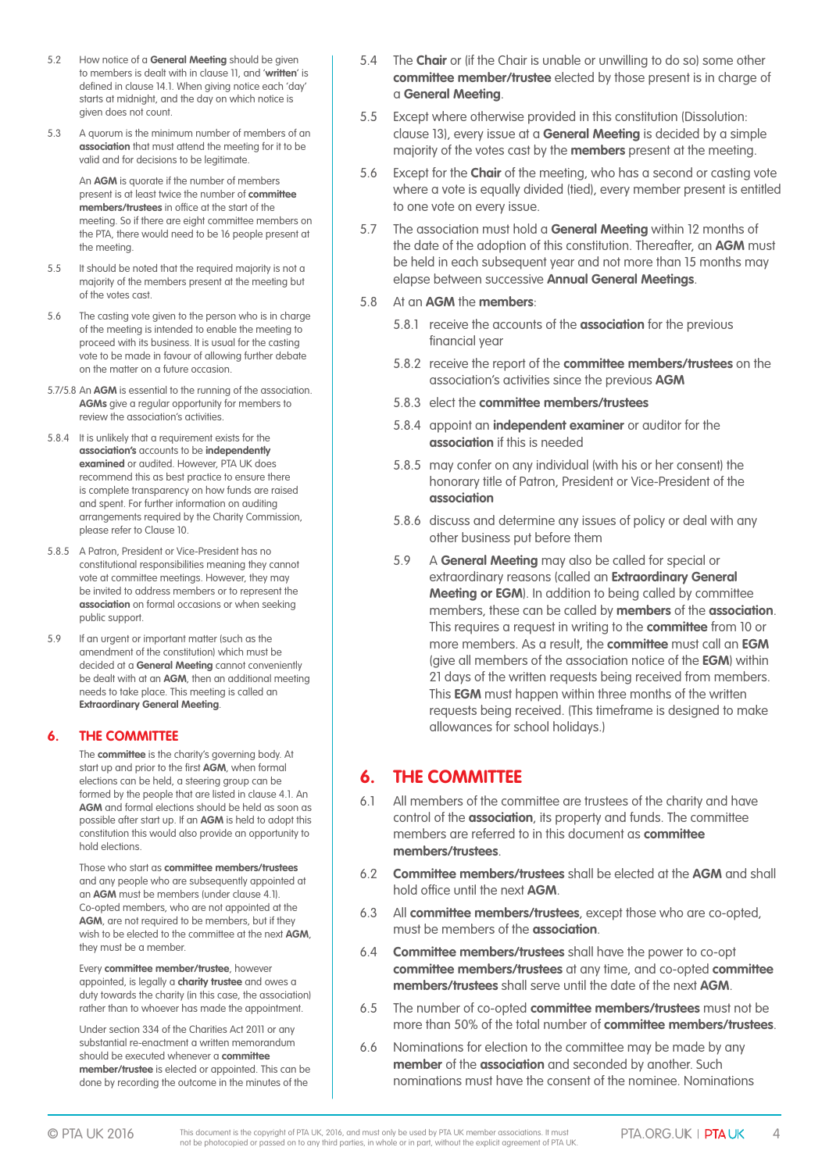- 5.2 How notice of a **General Meeting** should be given to members is dealt with in clause 11, and '**written**' is defined in clause 14.1. When giving notice each 'day' starts at midnight, and the day on which notice is given does not count.
- 5.3 A quorum is the minimum number of members of an **association** that must attend the meeting for it to be valid and for decisions to be legitimate.

 An **AGM** is quorate if the number of members present is at least twice the number of **committee members/trustees** in office at the start of the meeting. So if there are eight committee members on the PTA, there would need to be 16 people present at the meeting.

- 5.5 It should be noted that the required majority is not a majority of the members present at the meeting but of the votes cast.
- 5.6 The casting vote given to the person who is in charge of the meeting is intended to enable the meeting to proceed with its business. It is usual for the casting vote to be made in favour of allowing further debate on the matter on a future occasion.
- 5.7/5.8 An **AGM** is essential to the running of the association. **AGMs** give a regular opportunity for members to review the association's activities.
- 5.8.4 It is unlikely that a requirement exists for the **association's** accounts to be **independently examined** or audited. However, PTA UK does recommend this as best practice to ensure there is complete transparency on how funds are raised and spent. For further information on auditing arrangements required by the Charity Commission, please refer to Clause 10.
- 5.8.5 A Patron, President or Vice-President has no constitutional responsibilities meaning they cannot vote at committee meetings. However, they may be invited to address members or to represent the **association** on formal occasions or when seeking public support.
- 5.9 If an urgent or important matter (such as the amendment of the constitution) which must be decided at a **General Meeting** cannot conveniently be dealt with at an **AGM**, then an additional meeting needs to take place. This meeting is called an **Extraordinary General Meeting**.

#### **6. THE COMMITTEE**

 The **committee** is the charity's governing body. At start up and prior to the first **AGM**, when formal elections can be held, a steering group can be formed by the people that are listed in clause 4.1. An **AGM** and formal elections should be held as soon as possible after start up. If an **AGM** is held to adopt this constitution this would also provide an opportunity to hold elections.

 Those who start as **committee members/trustees** and any people who are subsequently appointed at an **AGM** must be members (under clause 4.1). Co-opted members, who are not appointed at the **AGM**, are not required to be members, but if they wish to be elected to the committee at the next **AGM**, they must be a member.

 Every **committee member/trustee**, however appointed, is legally a **charity trustee** and owes a duty towards the charity (in this case, the association) rather than to whoever has made the appointment.

 Under section 334 of the Charities Act 2011 or any substantial re-enactment a written memorandum should be executed whenever a **committee member/trustee** is elected or appointed. This can be done by recording the outcome in the minutes of the

- 5.4 The **Chair** or (if the Chair is unable or unwilling to do so) some other **committee member/trustee** elected by those present is in charge of a **General Meeting**.
- 5.5 Except where otherwise provided in this constitution (Dissolution: clause 13), every issue at a **General Meeting** is decided by a simple majority of the votes cast by the **members** present at the meeting.
- 5.6 Except for the **Chair** of the meeting, who has a second or casting vote where a vote is equally divided (tied), every member present is entitled to one vote on every issue.
- 5.7 The association must hold a **General Meeting** within 12 months of the date of the adoption of this constitution. Thereafter, an **AGM** must be held in each subsequent year and not more than 15 months may elapse between successive **Annual General Meetings**.

#### 5.8 At an **AGM** the **members**:

- 5.8.1 receive the accounts of the **association** for the previous financial year
- 5.8.2 receive the report of the **committee members/trustees** on the association's activities since the previous **AGM**
- 5.8.3 elect the **committee members/trustees**
- 5.8.4 appoint an **independent examiner** or auditor for the **association** if this is needed
- 5.8.5 may confer on any individual (with his or her consent) the honorary title of Patron, President or Vice-President of the **association**
- 5.8.6 discuss and determine any issues of policy or deal with any other business put before them
- 5.9 A **General Meeting** may also be called for special or extraordinary reasons (called an **Extraordinary General Meeting or EGM**). In addition to being called by committee members, these can be called by **members** of the **association**. This requires a request in writing to the **committee** from 10 or more members. As a result, the **committee** must call an **EGM** (give all members of the association notice of the **EGM**) within 21 days of the written requests being received from members. This **EGM** must happen within three months of the written requests being received. (This timeframe is designed to make allowances for school holidays.)

# **6. THE COMMITTEE**

- 6.1 All members of the committee are trustees of the charity and have control of the **association**, its property and funds. The committee members are referred to in this document as **committee members/trustees**.
- 6.2 **Committee members/trustees** shall be elected at the **AGM** and shall hold office until the next **AGM**.
- 6.3 All **committee members/trustees**, except those who are co-opted, must be members of the **association**.
- 6.4 **Committee members/trustees** shall have the power to co-opt **committee members/trustees** at any time, and co-opted **committee members/trustees** shall serve until the date of the next **AGM**.
- 6.5 The number of co-opted **committee members/trustees** must not be more than 50% of the total number of **committee members/trustees**.
- 6.6 Nominations for election to the committee may be made by any **member** of the **association** and seconded by another. Such nominations must have the consent of the nominee. Nominations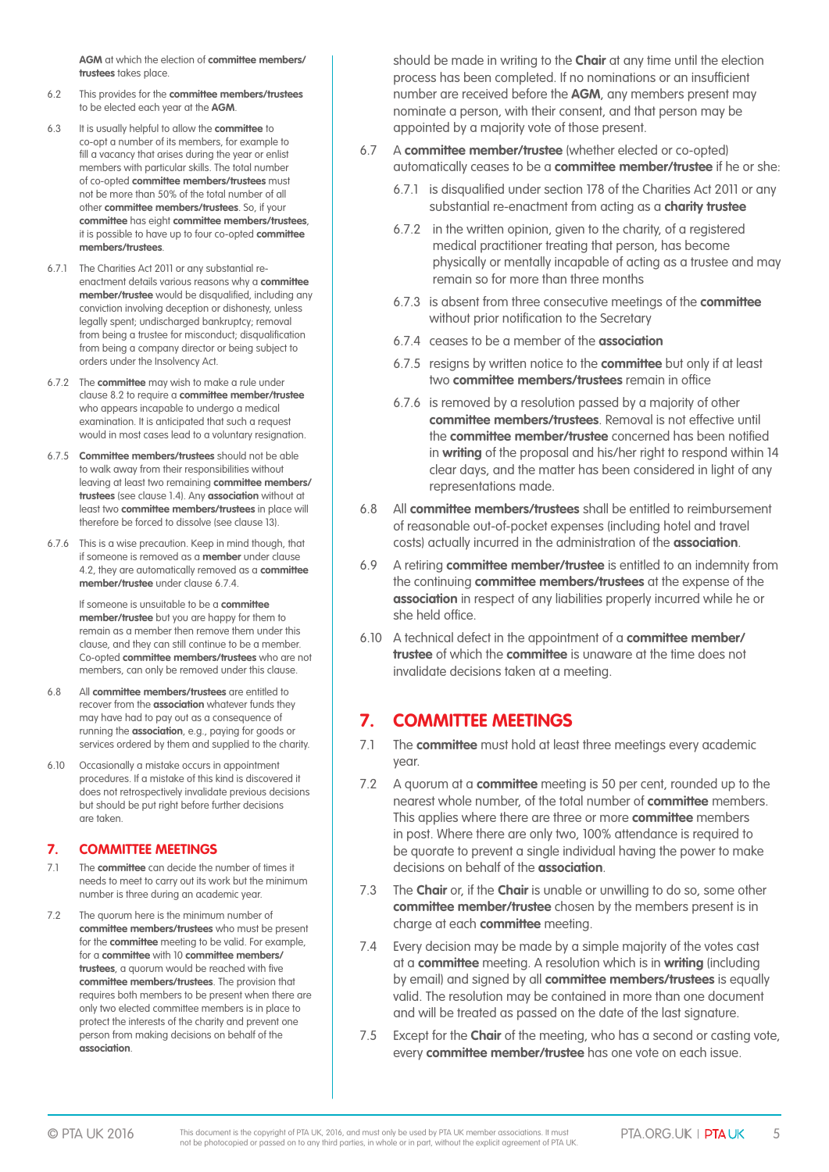**AGM** at which the election of **committee members/ trustees** takes place.

- 6.2 This provides for the **committee members/trustees** to be elected each year at the **AGM**.
- 6.3 It is usually helpful to allow the **committee** to co-opt a number of its members, for example to fill a vacancy that arises during the year or enlist members with particular skills. The total number of co-opted **committee members/trustees** must not be more than 50% of the total number of all other **committee members/trustees**. So, if your **committee** has eight **committee members/trustees**, it is possible to have up to four co-opted **committee members/trustees**.
- 6.7.1 The Charities Act 2011 or any substantial reenactment details various reasons why a **committee member/trustee** would be disqualified, including any conviction involving deception or dishonesty, unless legally spent; undischarged bankruptcy; removal from being a trustee for misconduct; disqualification from being a company director or being subject to orders under the Insolvency Act.
- 6.7.2 The **committee** may wish to make a rule under clause 8.2 to require a **committee member/trustee** who appears incapable to undergo a medical examination. It is anticipated that such a request would in most cases lead to a voluntary resignation.
- 6.7.5 **Committee members/trustees** should not be able to walk away from their responsibilities without leaving at least two remaining **committee members/ trustees** (see clause 1.4). Any **association** without at least two **committee members/trustees** in place will therefore be forced to dissolve (see clause 13).
- 6.7.6 This is a wise precaution. Keep in mind though, that if someone is removed as a **member** under clause 4.2, they are automatically removed as a **committee member/trustee** under clause 6.7.4.

 If someone is unsuitable to be a **committee member/trustee** but you are happy for them to remain as a member then remove them under this clause, and they can still continue to be a member. Co-opted **committee members/trustees** who are not members, can only be removed under this clause.

- 6.8 All **committee members/trustees** are entitled to recover from the **association** whatever funds they may have had to pay out as a consequence of running the **association**, e.g., paying for goods or services ordered by them and supplied to the charity.
- 6.10 Occasionally a mistake occurs in appointment procedures. If a mistake of this kind is discovered it does not retrospectively invalidate previous decisions but should be put right before further decisions are taken.

#### **7. COMMITTEE MEETINGS**

- 7.1 The **committee** can decide the number of times it needs to meet to carry out its work but the minimum number is three during an academic year.
- 7.2 The quorum here is the minimum number of **committee members/trustees** who must be present for the **committee** meeting to be valid. For example, for a **committee** with 10 **committee members/ trustees**, a quorum would be reached with five **committee members/trustees**. The provision that requires both members to be present when there are only two elected committee members is in place to protect the interests of the charity and prevent one person from making decisions on behalf of the **association**.

should be made in writing to the **Chair** at any time until the election process has been completed. If no nominations or an insufficient number are received before the **AGM**, any members present may nominate a person, with their consent, and that person may be appointed by a majority vote of those present.

- 6.7 A **committee member/trustee** (whether elected or co-opted) automatically ceases to be a **committee member/trustee** if he or she:
	- 6.7.1 is disqualified under section 178 of the Charities Act 2011 or any substantial re-enactment from acting as a **charity trustee**
	- 6.7.2 in the written opinion, given to the charity, of a registered medical practitioner treating that person, has become physically or mentally incapable of acting as a trustee and may remain so for more than three months
	- 6.7.3 is absent from three consecutive meetings of the **committee** without prior notification to the Secretary
	- 6.7.4 ceases to be a member of the **association**
	- 6.7.5 resigns by written notice to the **committee** but only if at least two **committee members/trustees** remain in office
	- 6.7.6 is removed by a resolution passed by a majority of other **committee members/trustees**. Removal is not effective until the **committee member/trustee** concerned has been notified in **writing** of the proposal and his/her right to respond within 14 clear days, and the matter has been considered in light of any representations made.
- 6.8 All **committee members/trustees** shall be entitled to reimbursement of reasonable out-of-pocket expenses (including hotel and travel costs) actually incurred in the administration of the **association**.
- 6.9 A retiring **committee member/trustee** is entitled to an indemnity from the continuing **committee members/trustees** at the expense of the **association** in respect of any liabilities properly incurred while he or she held office.
- 6.10 A technical defect in the appointment of a **committee member/ trustee** of which the **committee** is unaware at the time does not invalidate decisions taken at a meeting.

# **7. COMMITTEE MEETINGS**

- 7.1 The **committee** must hold at least three meetings every academic year.
- 7.2 A quorum at a **committee** meeting is 50 per cent, rounded up to the nearest whole number, of the total number of **committee** members. This applies where there are three or more **committee** members in post. Where there are only two, 100% attendance is required to be quorate to prevent a single individual having the power to make decisions on behalf of the **association**.
- 7.3 The **Chair** or, if the **Chair** is unable or unwilling to do so, some other **committee member/trustee** chosen by the members present is in charge at each **committee** meeting.
- 7.4 Every decision may be made by a simple majority of the votes cast at a **committee** meeting. A resolution which is in **writing** (including by email) and signed by all **committee members/trustees** is equally valid. The resolution may be contained in more than one document and will be treated as passed on the date of the last signature.
- 7.5 Except for the **Chair** of the meeting, who has a second or casting vote, every **committee member/trustee** has one vote on each issue.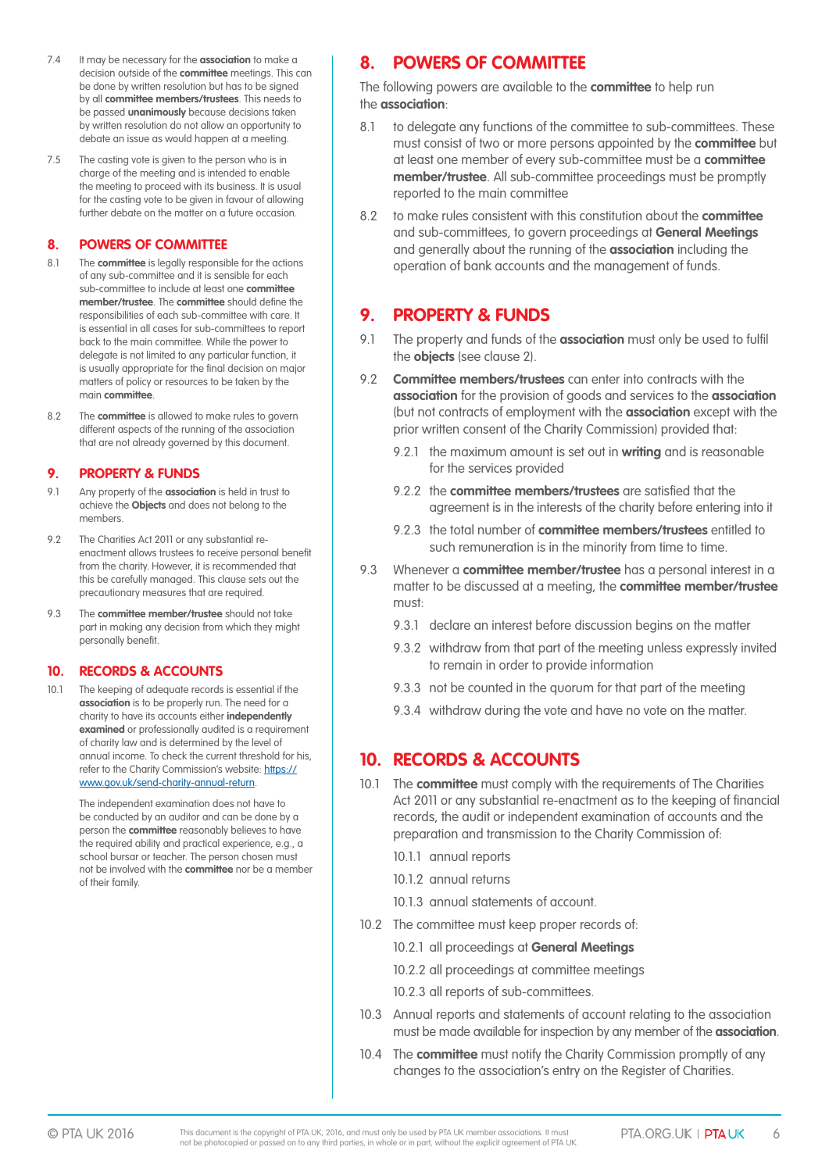- 7.4 It may be necessary for the **association** to make a decision outside of the **committee** meetings. This can be done by written resolution but has to be signed by all **committee members/trustees**. This needs to be passed **unanimously** because decisions taken by written resolution do not allow an opportunity to debate an issue as would happen at a meeting.
- 7.5 The casting vote is given to the person who is in charge of the meeting and is intended to enable the meeting to proceed with its business. It is usual for the casting vote to be given in favour of allowing further debate on the matter on a future occasion.

#### **8. POWERS OF COMMITTEE**

- 8.1 The **committee** is legally responsible for the actions of any sub-committee and it is sensible for each sub-committee to include at least one **committee member/trustee**. The **committee** should define the responsibilities of each sub-committee with care. It is essential in all cases for sub-committees to report back to the main committee. While the power to delegate is not limited to any particular function, it is usually appropriate for the final decision on major matters of policy or resources to be taken by the main **committee**.
- 8.2 The **committee** is allowed to make rules to govern different aspects of the running of the association that are not already governed by this document.

#### **9. PROPERTY & FUNDS**

- 9.1 Any property of the **association** is held in trust to achieve the **Objects** and does not belong to the members.
- 9.2 The Charities Act 2011 or any substantial reenactment allows trustees to receive personal benefit from the charity. However, it is recommended that this be carefully managed. This clause sets out the precautionary measures that are required.
- 9.3 The **committee member/trustee** should not take part in making any decision from which they might personally benefit.

#### **10. RECORDS & ACCOUNTS**

10.1 The keeping of adequate records is essential if the **association** is to be properly run. The need for a charity to have its accounts either **independently examined** or professionally audited is a requirement of charity law and is determined by the level of annual income. To check the current threshold for his, refer to the Charity Commission's website: [https://](https://www.gov.uk/send) [www.gov.uk/send-](https://www.gov.uk/send)charity-annual-return.

> The independent examination does not have to be conducted by an auditor and can be done by a person the **committee** reasonably believes to have the required ability and practical experience, e.g., a school bursar or teacher. The person chosen must not be involved with the **committee** nor be a member of their family.

# **8. POWERS OF COMMITTEE**

The following powers are available to the **committee** to help run the **association**:

- 8.1 to delegate any functions of the committee to sub-committees. These must consist of two or more persons appointed by the **committee** but at least one member of every sub-committee must be a **committee member/trustee**. All sub-committee proceedings must be promptly reported to the main committee
- 8.2 to make rules consistent with this constitution about the **committee** and sub-committees, to govern proceedings at **General Meetings** and generally about the running of the **association** including the operation of bank accounts and the management of funds.

# **9. PROPERTY & FUNDS**

- 9.1 The property and funds of the **association** must only be used to fulfil the **objects** (see clause 2).
- 9.2 **Committee members/trustees** can enter into contracts with the **association** for the provision of goods and services to the **association** (but not contracts of employment with the **association** except with the prior written consent of the Charity Commission) provided that:
	- 9.2.1 the maximum amount is set out in **writing** and is reasonable for the services provided
	- 9.2.2 the **committee members/trustees** are satisfied that the agreement is in the interests of the charity before entering into it
	- 9.2.3 the total number of **committee members/trustees** entitled to such remuneration is in the minority from time to time.
- 9.3 Whenever a **committee member/trustee** has a personal interest in a matter to be discussed at a meeting, the **committee member/trustee** must:
	- 9.3.1 declare an interest before discussion begins on the matter
	- 9.3.2 withdraw from that part of the meeting unless expressly invited to remain in order to provide information
	- 9.3.3 not be counted in the quorum for that part of the meeting
	- 9.3.4 withdraw during the vote and have no vote on the matter.

# **10. RECORDS & ACCOUNTS**

- 10.1 The **committee** must comply with the requirements of The Charities Act 2011 or any substantial re-enactment as to the keeping of financial records, the audit or independent examination of accounts and the preparation and transmission to the Charity Commission of:
	- 10.1.1 annual reports
	- 10.1.2 annual returns
	- 10.1.3 annual statements of account.
- 10.2 The committee must keep proper records of:
	- 10.2.1 all proceedings at **General Meetings**
	- 10.2.2 all proceedings at committee meetings
	- 10.2.3 all reports of sub-committees.
- 10.3 Annual reports and statements of account relating to the association must be made available for inspection by any member of the **association**.
- 10.4 The **committee** must notify the Charity Commission promptly of any changes to the association's entry on the Register of Charities.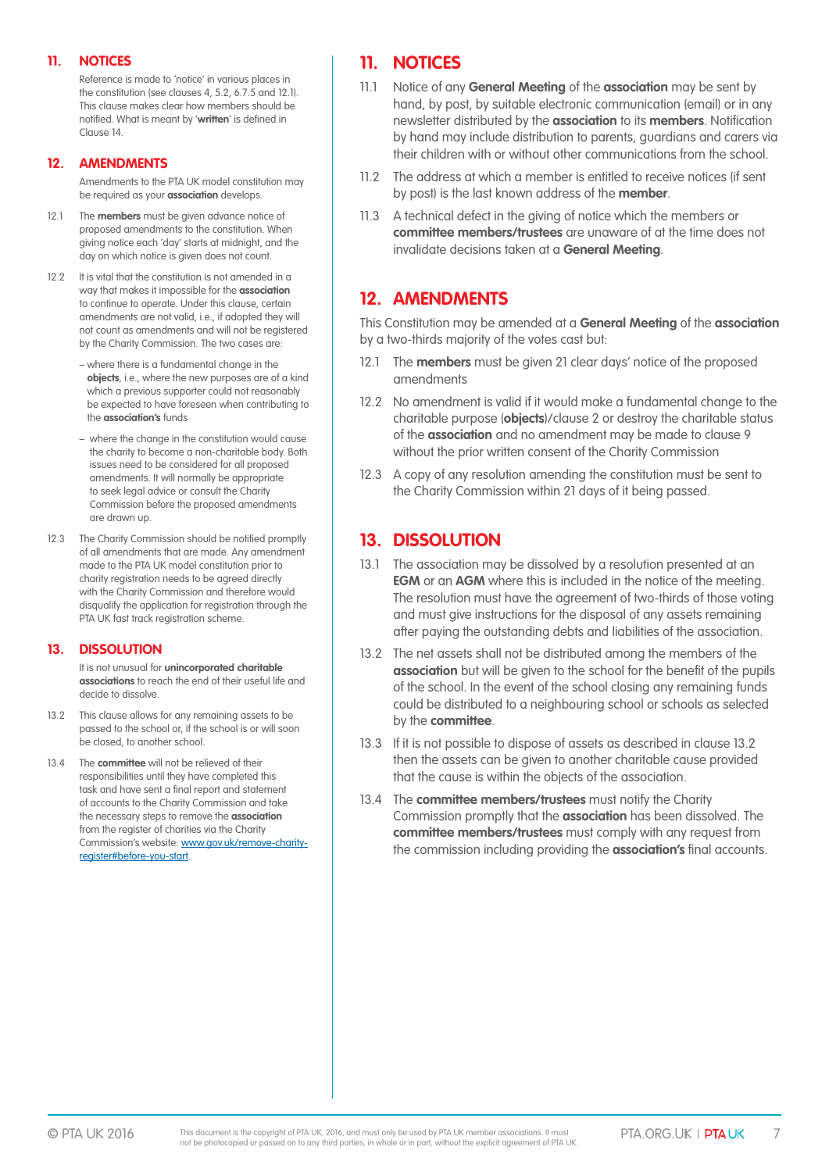#### **11. NOTICES**

Reference is made to 'notice' in various places in the constitution (see clauses 4, 5.2, 6.7.5 and 12.1). This clause makes clear how members should be notified. What is meant by '**written**' is defined in Clause 14.

#### **12. AMENDMENTS**

Amendments to the PTA UK model constitution may be required as your **association** develops.

- 12.1 The **members** must be given advance notice of proposed amendments to the constitution. When giving notice each 'day' starts at midnight, and the day on which notice is given does not count.
- 12.2 It is vital that the constitution is not amended in a way that makes it impossible for the **association** to continue to operate. Under this clause, certain amendments are not valid, i.e., if adopted they will not count as amendments and will not be registered by the Charity Commission. The two cases are:
	- where there is a fundamental change in the **objects**, i.e., where the new purposes are of a kind which a previous supporter could not reasonably be expected to have foreseen when contributing to the **association's** funds
	- where the change in the constitution would cause the charity to become a non-charitable body. Both issues need to be considered for all proposed amendments. It will normally be appropriate to seek legal advice or consult the Charity Commission before the proposed amendments are drawn up.
- 12.3 The Charity Commission should be notified promptly of all amendments that are made. Any amendment made to the PTA UK model constitution prior to charity registration needs to be agreed directly with the Charity Commission and therefore would disqualify the application for registration through the PTA UK fast track registration scheme.

#### **13. DISSOLUTION**

It is not unusual for **unincorporated charitable associations** to reach the end of their useful life and decide to dissolve.

- 13.2 This clause allows for any remaining assets to be passed to the school or, if the school is or will soon be closed, to another school.
- 13.4 The **committee** will not be relieved of their responsibilities until they have completed this task and have sent a final report and statement of accounts to the Charity Commission and take the necessary steps to remove the **association** from the register of charities via the Charity Commission's website: www.gov.uk/remove-charityregister#before-you-start.

# **11. NOTICES**

- 11.1 Notice of any **General Meeting** of the **association** may be sent by hand, by post, by suitable electronic communication (email) or in any newsletter distributed by the **association** to its **members**. Notification by hand may include distribution to parents, guardians and carers via their children with or without other communications from the school.
- 11.2 The address at which a member is entitled to receive notices (if sent by post) is the last known address of the **member**.
- 11.3 A technical defect in the giving of notice which the members or **committee members/trustees** are unaware of at the time does not invalidate decisions taken at a **General Meeting**.

# **12. AMENDMENTS**

This Constitution may be amended at a **General Meeting** of the **association** by a two-thirds majority of the votes cast but:

- 12.1 The **members** must be given 21 clear days' notice of the proposed amendments
- 12.2 No amendment is valid if it would make a fundamental change to the charitable purpose (**objects**)/clause 2 or destroy the charitable status of the **association** and no amendment may be made to clause 9 without the prior written consent of the Charity Commission
- 12.3 A copy of any resolution amending the constitution must be sent to the Charity Commission within 21 days of it being passed.

## **13. DISSOLUTION**

- 13.1 The association may be dissolved by a resolution presented at an **EGM** or an **AGM** where this is included in the notice of the meeting. The resolution must have the agreement of two-thirds of those voting and must give instructions for the disposal of any assets remaining after paying the outstanding debts and liabilities of the association.
- 13.2 The net assets shall not be distributed among the members of the **association** but will be given to the school for the benefit of the pupils of the school. In the event of the school closing any remaining funds could be distributed to a neighbouring school or schools as selected by the **committee**.
- 13.3 If it is not possible to dispose of assets as described in clause 13.2 then the assets can be given to another charitable cause provided that the cause is within the objects of the association.
- 13.4 The **committee members/trustees** must notify the Charity Commission promptly that the **association** has been dissolved. The **committee members/trustees** must comply with any request from the commission including providing the **association's** final accounts.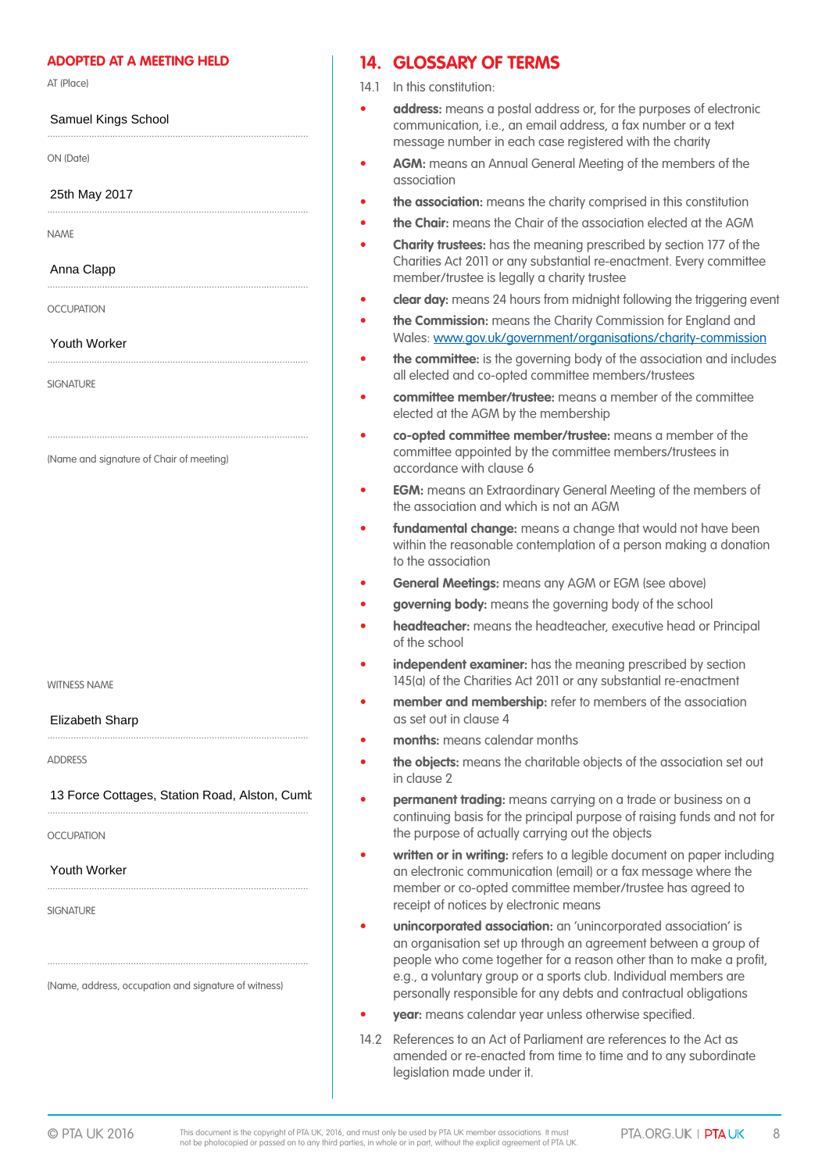#### **ADOPTED AT A MEETING HELD**

....................................................................................................

....................................................................................................

....................................................................................................

....................................................................................................

....................................................................................................

AT (Place)

#### Samuel Kings School

ON (Date)

25th May 2017

NAME

Anna Clapp

OCCLIPATION

Youth Worker

**SIGNATURE** 

(Name and signature of Chair of meeting)

WITNESS NAME

Elizabeth Sharp

ADDRESS

#### .................................................................................................... 13 Force Cottages, Station Road, Alston, Cumb

....................................................................................................

....................................................................................................

....................................................................................................

OCCLIPATION

#### Youth Worker

**SIGNATURE** 

(Name, address, occupation and signature of witness)

## **14. GLOSSARY OF TERMS**

- 14.1 In this constitution:
- **address:** means a postal address or, for the purposes of electronic communication, i.e., an email address, a fax number or a text message number in each case registered with the charity
- **AGM:** means an Annual General Meeting of the members of the association
- **the association:** means the charity comprised in this constitution
- **the Chair:** means the Chair of the association elected at the AGM
- **Charity trustees:** has the meaning prescribed by section 177 of the Charities Act 2011 or any substantial re-enactment. Every committee member/trustee is legally a charity trustee
- **clear day:** means 24 hours from midnight following the triggering event
- **the Commission:** means the Charity Commission for England and Wales: www.gov.uk/government/organisations/charity-commission
- **the committee:** is the governing body of the association and includes all elected and co-opted committee members/trustees
- **committee member/trustee:** means a member of the committee elected at the AGM by the membership
- **co-opted committee member/trustee:** means a member of the committee appointed by the committee members/trustees in accordance with clause 6
- **EGM:** means an Extraordinary General Meeting of the members of the association and which is not an AGM
- **fundamental change:** means a change that would not have been within the reasonable contemplation of a person making a donation to the association
- **General Meetings:** means any AGM or EGM (see above)
- **governing body:** means the governing body of the school
- **headteacher:** means the headteacher, executive head or Principal of the school
- **independent examiner:** has the meaning prescribed by section 145(a) of the Charities Act 2011 or any substantial re-enactment
- **member and membership:** refer to members of the association as set out in clause 4
- **months:** means calendar months
- **the objects:** means the charitable objects of the association set out in clause 2
- **permanent trading:** means carrying on a trade or business on a continuing basis for the principal purpose of raising funds and not for the purpose of actually carrying out the objects
- written or in writing: refers to a legible document on paper including an electronic communication (email) or a fax message where the member or co-opted committee member/trustee has agreed to receipt of notices by electronic means
- **unincorporated association:** an 'unincorporated association' is an organisation set up through an agreement between a group of people who come together for a reason other than to make a profit, e.g., a voluntary group or a sports club. Individual members are personally responsible for any debts and contractual obligations
- **year:** means calendar year unless otherwise specified.
- 14.2 References to an Act of Parliament are references to the Act as amended or re-enacted from time to time and to any subordinate legislation made under it.